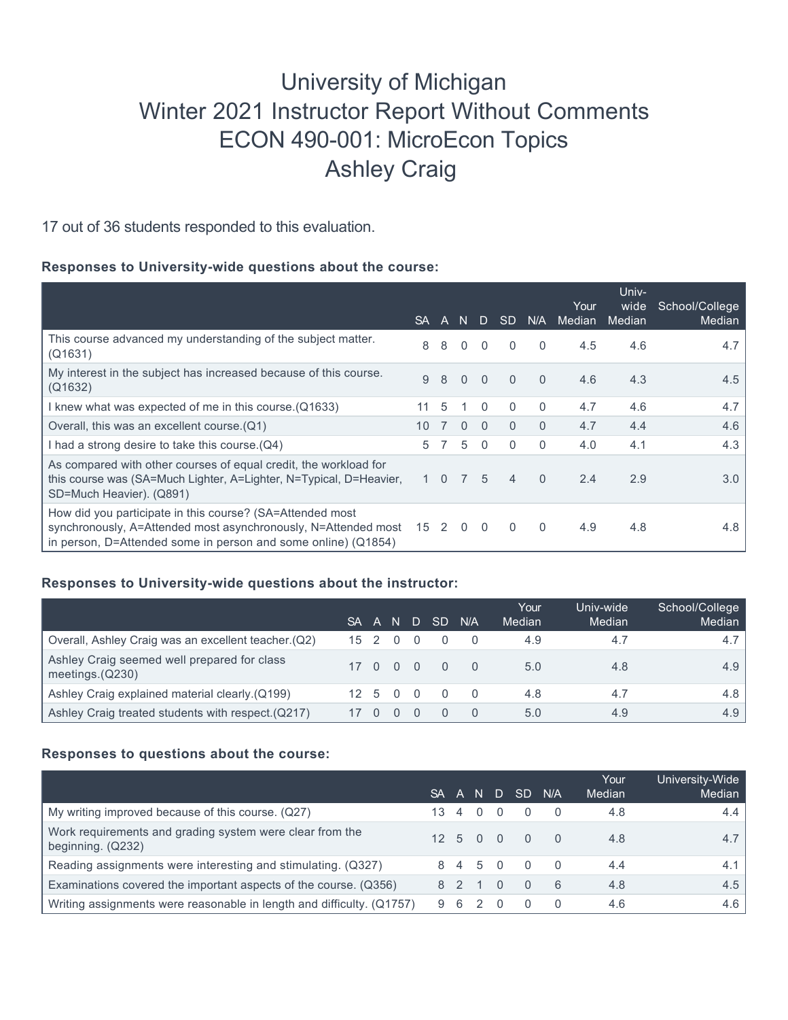# University of Michigan Winter 2021 Instructor Report Without Comments ECON 490-001: MicroEcon Topics Ashley Craig

17 out of 36 students responded to this evaluation.

## **Responses to University-wide questions about the course:**

|                                                                                                                                                                                              | <b>SA</b>       | $\mathsf{A}$ |          | N D            | SD.            | N/A      | Your<br>Median | Univ-<br>wide<br>Median | School/College<br>Median |
|----------------------------------------------------------------------------------------------------------------------------------------------------------------------------------------------|-----------------|--------------|----------|----------------|----------------|----------|----------------|-------------------------|--------------------------|
| This course advanced my understanding of the subject matter.<br>(Q1631)                                                                                                                      | 8               | 8            | $\Omega$ | $\Omega$       | $\Omega$       | 0        | 4.5            | 4.6                     | 4.7                      |
| My interest in the subject has increased because of this course.<br>(Q1632)                                                                                                                  | 9               | -8           | $\Omega$ | $\overline{0}$ | $\Omega$       | $\Omega$ | 4.6            | 4.3                     | 4.5                      |
| I knew what was expected of me in this course. (Q1633)                                                                                                                                       | 11              | 5            |          | $\Omega$       | $\mathbf{0}$   | 0        | 4.7            | 4.6                     | 4.7                      |
| Overall, this was an excellent course.(Q1)                                                                                                                                                   | 10 <sup>°</sup> | 7            | $\Omega$ | $\Omega$       | $\mathbf{0}$   | $\Omega$ | 4.7            | 4.4                     | 4.6                      |
| I had a strong desire to take this course $(Q4)$                                                                                                                                             | 5               |              | 5        | $\Omega$       | $\mathbf{0}$   | $\Omega$ | 4.0            | 4.1                     | 4.3                      |
| As compared with other courses of equal credit, the workload for<br>this course was (SA=Much Lighter, A=Lighter, N=Typical, D=Heavier,<br>SD=Much Heavier). (Q891)                           |                 | $1\quad 0$   |          | 5              | $\overline{4}$ | $\Omega$ | 2.4            | 2.9                     | 3.0 <sub>1</sub>         |
| How did you participate in this course? (SA=Attended most<br>synchronously, A=Attended most asynchronously, N=Attended most<br>in person, D=Attended some in person and some online) (Q1854) | 15              | 2 0          |          | $\Omega$       | $\Omega$       | 0        | 4.9            | 4.8                     | 4.8                      |

#### **Responses to University-wide questions about the instructor:**

|                                                                   | <b>SA</b>    | ⊑A' | N          |          | D SD       | N/A | Your<br>Median | Univ-wide<br>Median | School/College<br>Median |
|-------------------------------------------------------------------|--------------|-----|------------|----------|------------|-----|----------------|---------------------|--------------------------|
| Overall, Ashley Craig was an excellent teacher.(Q2)               | $15 \quad 2$ |     | $0\quad 0$ |          |            |     | 4.9            | 4.7                 | 4.7                      |
| Ashley Craig seemed well prepared for class<br>meetings. $(Q230)$ |              |     |            |          | 17 0 0 0 0 |     | 5.0            | 4.8                 | 4.9 <sub>1</sub>         |
| Ashley Craig explained material clearly.(Q199)                    |              |     |            | 12 5 0 0 |            |     | 4.8            | 4.7                 | 4.8 <sup>1</sup>         |
| Ashley Craig treated students with respect.(Q217)                 |              |     |            |          |            |     | 5.0            | 4.9                 | 4.9 <sup>°</sup>         |

#### **Responses to questions about the course:**

|                                                                               | SA. | $\mathsf{A}$   | N. | D.       | SD.                                 | N/A | Your<br>Median | University-Wide<br>Median |
|-------------------------------------------------------------------------------|-----|----------------|----|----------|-------------------------------------|-----|----------------|---------------------------|
| My writing improved because of this course. (Q27)                             |     | $\overline{4}$ | 0  |          |                                     |     | 4.8            | 4.4                       |
| Work requirements and grading system were clear from the<br>beginning. (Q232) |     |                |    |          | 12 5 0 0 0 0                        |     | 4.8            | 4.7                       |
| Reading assignments were interesting and stimulating. (Q327)                  |     | 84             |    | 5 0      | $\begin{matrix} 0 & 0 \end{matrix}$ |     | 4.4            | 4.1                       |
| Examinations covered the important aspects of the course. (Q356)              |     | 82             |    | $\Omega$ |                                     |     | 4.8            | 4.5                       |
| Writing assignments were reasonable in length and difficulty. (Q1757)         | 9   | 6              |    |          |                                     |     | 4.6            | 4.6                       |